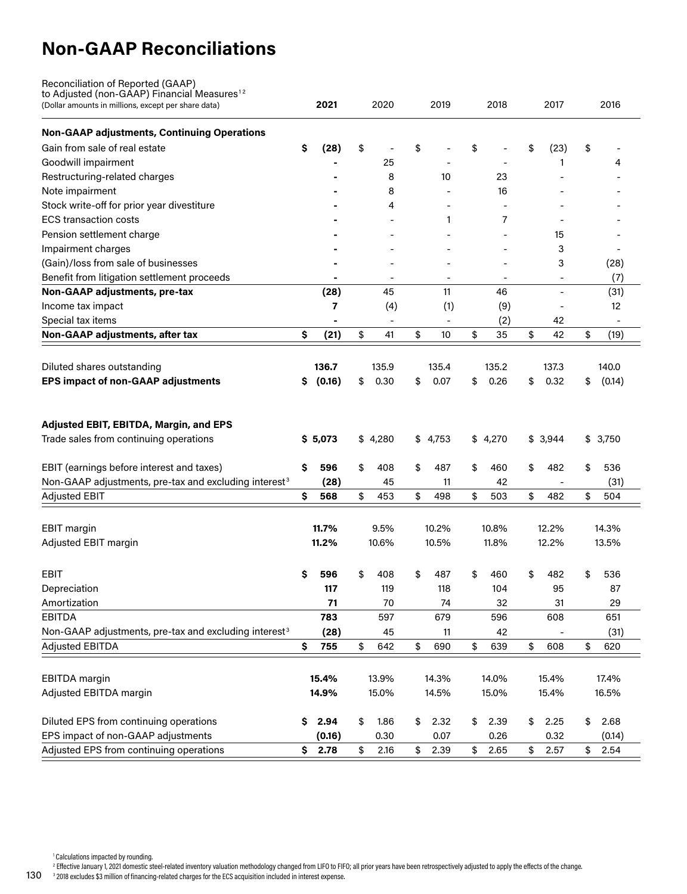## **Non-GAAP Reconciliations**

| Reconciliation of Reported (GAAP)                                                                              |     |                          |       |         |       |         |       |         |    |                |       |         |  |
|----------------------------------------------------------------------------------------------------------------|-----|--------------------------|-------|---------|-------|---------|-------|---------|----|----------------|-------|---------|--|
| to Adjusted (non-GAAP) Financial Measures <sup>12</sup><br>(Dollar amounts in millions, except per share data) |     | 2021                     |       | 2020    |       | 2019    |       | 2018    |    | 2017           |       | 2016    |  |
| <b>Non-GAAP adjustments, Continuing Operations</b>                                                             |     |                          |       |         |       |         |       |         |    |                |       |         |  |
| Gain from sale of real estate                                                                                  | s   | (28)                     | \$    |         | \$    |         | \$    |         | \$ | (23)           | \$    |         |  |
| Goodwill impairment                                                                                            |     |                          |       | 25      |       |         |       |         |    | 1              |       | 4       |  |
| Restructuring-related charges                                                                                  |     |                          |       | 8       |       | 10      |       | 23      |    |                |       |         |  |
| Note impairment                                                                                                |     |                          |       | 8       |       |         |       | 16      |    |                |       |         |  |
| Stock write-off for prior year divestiture                                                                     |     |                          |       | 4       |       |         |       |         |    |                |       |         |  |
| <b>ECS transaction costs</b>                                                                                   |     |                          |       |         |       | 1       |       | 7       |    |                |       |         |  |
| Pension settlement charge                                                                                      |     |                          |       |         |       |         |       |         |    | 15             |       |         |  |
| Impairment charges                                                                                             |     |                          |       |         |       |         |       |         |    | 3              |       |         |  |
| (Gain)/loss from sale of businesses                                                                            |     |                          |       |         |       |         |       |         |    | 3              |       | (28)    |  |
| Benefit from litigation settlement proceeds                                                                    |     |                          |       |         |       |         |       |         |    |                |       | (7)     |  |
| Non-GAAP adjustments, pre-tax                                                                                  |     | (28)                     |       | 45      |       | 11      |       | 46      |    | $\blacksquare$ |       | (31)    |  |
| Income tax impact                                                                                              |     | 7                        |       | (4)     |       | (1)     |       | (9)     |    |                |       | 12      |  |
| Special tax items                                                                                              |     | $\overline{\phantom{a}}$ |       |         |       |         |       | (2)     |    | 42             |       |         |  |
| Non-GAAP adjustments, after tax                                                                                | \$. | (21)                     | \$    | 41      | \$    | 10      | \$    | 35      | \$ | 42             | \$    | (19)    |  |
| Diluted shares outstanding                                                                                     |     | 136.7                    |       | 135.9   |       | 135.4   |       | 135.2   |    | 137.3          |       | 140.0   |  |
| <b>EPS impact of non-GAAP adjustments</b>                                                                      | s   | (0.16)                   | \$    | 0.30    | \$    | 0.07    | \$    | 0.26    | \$ | 0.32           | \$    | (0.14)  |  |
| Adjusted EBIT, EBITDA, Margin, and EPS<br>Trade sales from continuing operations                               |     | \$5,073                  |       | \$4,280 |       | \$4,753 |       | \$4,270 |    | \$3,944        |       | \$3,750 |  |
| EBIT (earnings before interest and taxes)                                                                      | s   | 596                      | \$    | 408     | \$    | 487     | \$    | 460     | \$ | 482            | \$    | 536     |  |
| Non-GAAP adjustments, pre-tax and excluding interest <sup>3</sup>                                              |     | (28)                     |       | 45      |       | 11      |       | 42      |    |                |       | (31)    |  |
| <b>Adjusted EBIT</b>                                                                                           | \$  | 568                      | \$    | 453     | \$    | 498     | \$    | 503     | \$ | 482            | \$    | 504     |  |
| <b>EBIT</b> margin                                                                                             |     | 11.7%                    |       | 9.5%    |       | 10.2%   |       | 10.8%   |    | 12.2%          |       | 14.3%   |  |
| Adjusted EBIT margin                                                                                           |     | 11.2%                    | 10.6% |         | 10.5% |         | 11.8% |         |    | 12.2%          | 13.5% |         |  |
|                                                                                                                |     |                          |       |         |       |         |       |         |    |                |       |         |  |
| EBIT                                                                                                           | s   | 596                      | \$    | 408     | \$    | 487     | \$    | 460     | \$ | 482            | \$    | 536     |  |
| Depreciation                                                                                                   |     | 117                      |       | 119     |       | 118     |       | 104     |    | 95             |       | 87      |  |
| Amortization                                                                                                   |     | 71                       |       | 70      |       | 74      |       | 32      |    | 31             |       | 29      |  |
| <b>EBITDA</b>                                                                                                  |     | 783                      |       | 597     |       | 679     |       | 596     |    | 608            |       | 651     |  |
| Non-GAAP adjustments, pre-tax and excluding interest <sup>3</sup>                                              |     | (28)                     |       | 45      |       | 11      |       | 42      |    |                |       | (31)    |  |
| <b>Adjusted EBITDA</b>                                                                                         | \$  | 755                      | \$    | 642     | \$    | 690     | \$    | 639     | \$ | 608            | \$    | 620     |  |
|                                                                                                                |     |                          |       |         |       |         |       |         |    |                |       |         |  |
| EBITDA margin                                                                                                  |     | 15.4%                    |       | 13.9%   |       | 14.3%   |       | 14.0%   |    | 15.4%          |       | 17.4%   |  |
| Adjusted EBITDA margin                                                                                         |     | 14.9%                    |       | 15.0%   |       | 14.5%   |       | 15.0%   |    | 15.4%          |       | 16.5%   |  |
| Diluted EPS from continuing operations                                                                         | S.  | 2.94                     | \$    | 1.86    | \$    | 2.32    | \$    | 2.39    | \$ | 2.25           | \$    | 2.68    |  |
| EPS impact of non-GAAP adjustments                                                                             |     | (0.16)                   |       | 0.30    |       | 0.07    |       | 0.26    |    | 0.32           |       | (0.14)  |  |
| Adjusted EPS from continuing operations                                                                        |     | \$2.78                   | \$    | 2.16    | \$    | 2.39    | \$    | 2.65    | \$ | 2.57           | \$    | 2.54    |  |